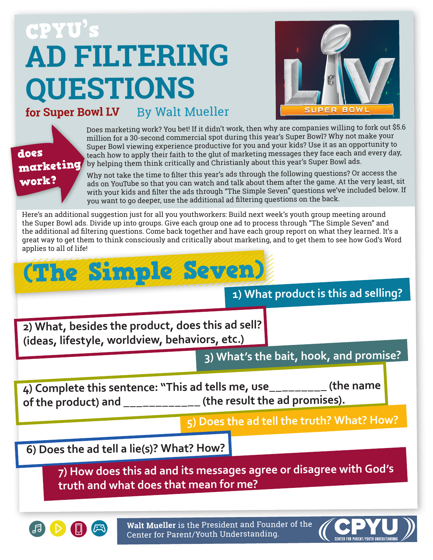## **AD FILTERING QUESTIONS** CPYU's



**for Super Bowl LV** By Walt Mueller



Does marketing work? You bet! If it didn't work, then why are companies willing to fork out \$5.6 million for a 30-second commercial spot during this year's Super Bowl? Why not make your Super Bowl viewing experience productive for you and your kids? Use it as an opportunity to teach how to apply their faith to the glut of marketing messages they face each and every day, by helping them think critically and Christianly about this year's Super Bowl ads.

Why not take the time to filter this year's ads through the following questions? Or access the ads on YouTube so that you can watch and talk about them after the game. At the very least, sit with your kids and filter the ads through "The Simple Seven" questions we've included below. If you want to go deeper, use the additional ad filtering questions on the back.

Here's an additional suggestion just for all you youthworkers: Build next week's youth group meeting around the Super Bowl ads. Divide up into groups. Give each group one ad to process through "The Simple Seven" and the additional ad filtering questions. Come back together and have each group report on what they learned. It's a great way to get them to think consciously and critically about marketing, and to get them to see how God's Word applies to all of life!

## (The Simple Seven)

**1) What product is this ad selling?**

**2) What, besides the product, does this ad sell? (ideas, lifestyle, worldview, behaviors, etc.)**

**3) What's the bait, hook, and promise?**

**4) Complete this sentence: "This ad tells me, use\_\_\_\_\_\_\_\_\_ (the name of the product) and \_\_\_\_\_\_\_\_\_\_\_\_ (the result the ad promises).**

**5) Does the ad tell the truth? What? How?**

**6) Does the ad tell a lie(s)? What? How?**

**7) How does this ad and its messages agree or disagree with God's truth and what does that mean for me?**



**Walt Mueller** is the President and Founder of the Center for Parent/Youth Understanding.